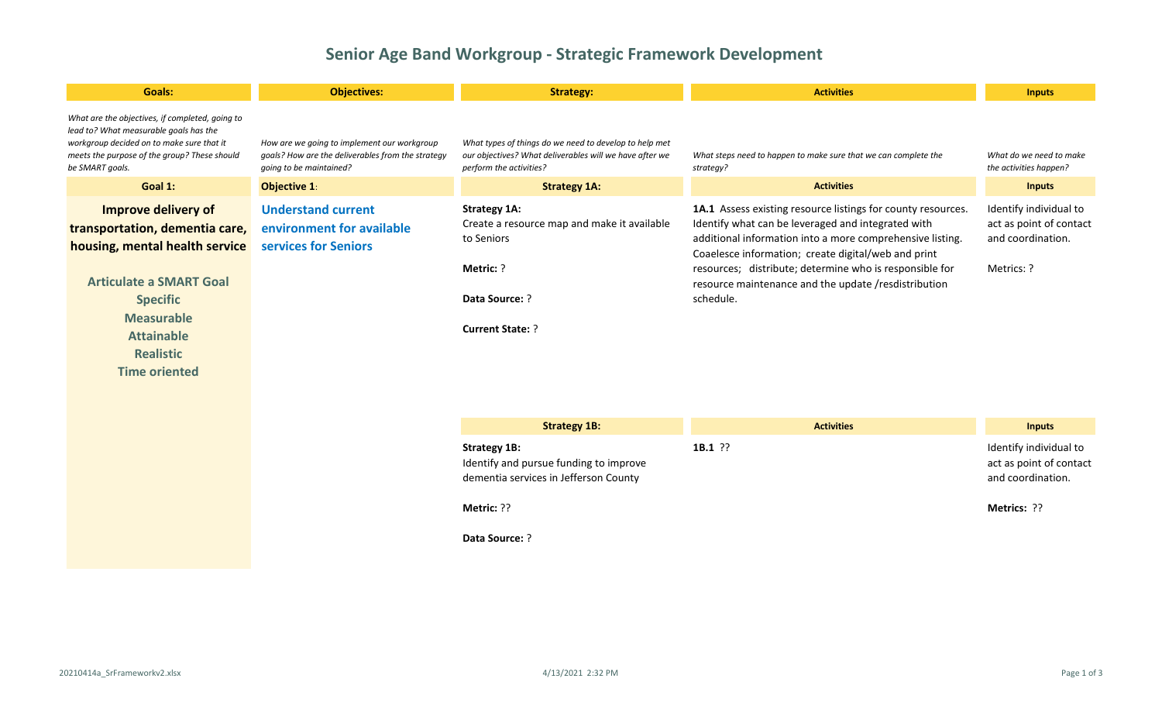## **Senior Age Band Workgroup - Strategic Framework Development**

| <b>Goals:</b>                                                                                                                                                                                                                      | <b>Objectives:</b>                                                                                                          | <b>Strategy:</b>                                                                                                                             | <b>Activities</b>                                                                                                                                                                                                                                                                                                                                                      | <b>Inputs</b>                                                                        |
|------------------------------------------------------------------------------------------------------------------------------------------------------------------------------------------------------------------------------------|-----------------------------------------------------------------------------------------------------------------------------|----------------------------------------------------------------------------------------------------------------------------------------------|------------------------------------------------------------------------------------------------------------------------------------------------------------------------------------------------------------------------------------------------------------------------------------------------------------------------------------------------------------------------|--------------------------------------------------------------------------------------|
| What are the objectives, if completed, going to<br>lead to? What measurable goals has the<br>workgroup decided on to make sure that it<br>meets the purpose of the group? These should<br>be SMART goals.                          | How are we going to implement our workgroup<br>goals? How are the deliverables from the strategy<br>going to be maintained? | What types of things do we need to develop to help met<br>our objectives? What deliverables will we have after we<br>perform the activities? | What steps need to happen to make sure that we can complete the<br>strategy?                                                                                                                                                                                                                                                                                           | What do we need to make<br>the activities happen?                                    |
| Goal 1:                                                                                                                                                                                                                            | <b>Objective 1:</b>                                                                                                         | <b>Strategy 1A:</b>                                                                                                                          | <b>Activities</b>                                                                                                                                                                                                                                                                                                                                                      | <b>Inputs</b>                                                                        |
| Improve delivery of<br>transportation, dementia care,<br>housing, mental health service<br><b>Articulate a SMART Goal</b><br><b>Specific</b><br><b>Measurable</b><br><b>Attainable</b><br><b>Realistic</b><br><b>Time oriented</b> | <b>Understand current</b><br>environment for available<br>services for Seniors                                              | <b>Strategy 1A:</b><br>Create a resource map and make it available<br>to Seniors<br>Metric: ?<br>Data Source: ?<br><b>Current State: ?</b>   | 1A.1 Assess existing resource listings for county resources.<br>Identify what can be leveraged and integrated with<br>additional information into a more comprehensive listing.<br>Coaelesce information; create digital/web and print<br>resources; distribute; determine who is responsible for<br>resource maintenance and the update /resdistribution<br>schedule. | Identify individual to<br>act as point of contact<br>and coordination.<br>Metrics: ? |
|                                                                                                                                                                                                                                    |                                                                                                                             | <b>Strategy 1B:</b>                                                                                                                          | <b>Activities</b>                                                                                                                                                                                                                                                                                                                                                      | <b>Inputs</b>                                                                        |
|                                                                                                                                                                                                                                    |                                                                                                                             | <b>Strategy 1B:</b><br>Identify and pursue funding to improve<br>dementia services in Jefferson County                                       | $1B.1$ ??                                                                                                                                                                                                                                                                                                                                                              | Identify individual to<br>act as point of contact<br>and coordination.               |

**Metrics:** ??

**Data Source:** ?

**Metric:** ??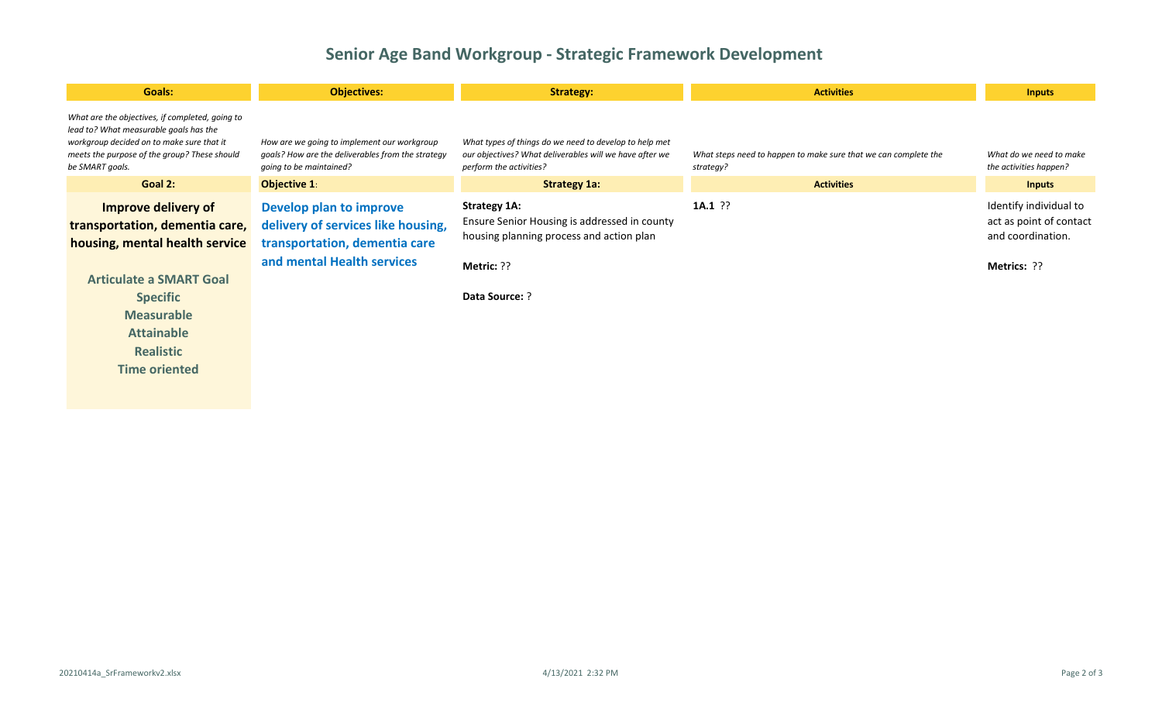## **Senior Age Band Workgroup - Strategic Framework Development**

| <b>Goals:</b>                                                                                                                                                                                                                      | <b>Objectives:</b>                                                                                                           | <b>Strategy:</b>                                                                                                                                       | <b>Activities</b>                                                            | <b>Inputs</b>                                                                         |
|------------------------------------------------------------------------------------------------------------------------------------------------------------------------------------------------------------------------------------|------------------------------------------------------------------------------------------------------------------------------|--------------------------------------------------------------------------------------------------------------------------------------------------------|------------------------------------------------------------------------------|---------------------------------------------------------------------------------------|
| What are the objectives, if completed, going to<br>lead to? What measurable goals has the<br>workgroup decided on to make sure that it<br>meets the purpose of the group? These should<br>be SMART goals.                          | How are we going to implement our workgroup<br>goals? How are the deliverables from the strategy<br>going to be maintained?  | What types of things do we need to develop to help met<br>our objectives? What deliverables will we have after we<br>perform the activities?           | What steps need to happen to make sure that we can complete the<br>strategy? | What do we need to make<br>the activities happen?                                     |
| Goal 2:                                                                                                                                                                                                                            | <b>Objective 1:</b>                                                                                                          | <b>Strategy 1a:</b>                                                                                                                                    | <b>Activities</b>                                                            | <b>Inputs</b>                                                                         |
| Improve delivery of<br>transportation, dementia care,<br>housing, mental health service<br><b>Articulate a SMART Goal</b><br><b>Specific</b><br><b>Measurable</b><br><b>Attainable</b><br><b>Realistic</b><br><b>Time oriented</b> | Develop plan to improve<br>delivery of services like housing,<br>transportation, dementia care<br>and mental Health services | <b>Strategy 1A:</b><br>Ensure Senior Housing is addressed in county<br>housing planning process and action plan<br>Metric: ??<br><b>Data Source: ?</b> | $1A.1$ ??                                                                    | Identify individual to<br>act as point of contact<br>and coordination.<br>Metrics: ?? |